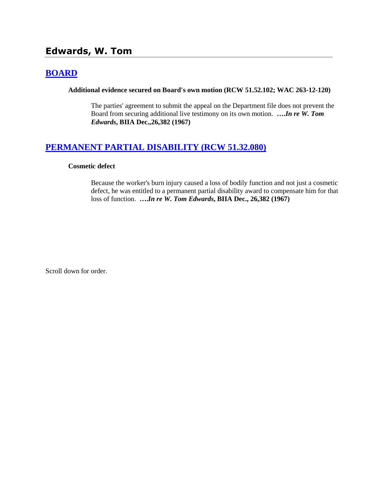# **Edwards, W. Tom**

# **[BOARD](http://www.biia.wa.gov/SDSubjectIndex.html#BOARD)**

#### **Additional evidence secured on Board's own motion (RCW 51.52.102; WAC 263-12-120)**

The parties' agreement to submit the appeal on the Department file does not prevent the Board from securing additional live testimony on its own motion. **….***In re W. Tom Edwards***, BIIA Dec.,26,382 (1967)** 

# **[PERMANENT PARTIAL DISABILITY \(RCW 51.32.080\)](http://www.biia.wa.gov/SDSubjectIndex.html#PERMANENT_PARTIAL_DISABILITY)**

### **Cosmetic defect**

Because the worker's burn injury caused a loss of bodily function and not just a cosmetic defect, he was entitled to a permanent partial disability award to compensate him for that loss of function. **….***In re W. Tom Edwards***, BIIA Dec., 26,382 (1967)** 

Scroll down for order.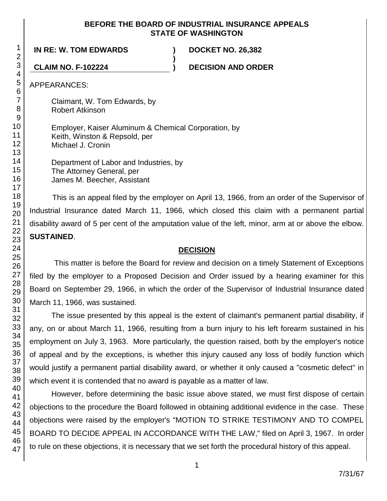## **BEFORE THE BOARD OF INDUSTRIAL INSURANCE APPEALS STATE OF WASHINGTON**

**)**

**IN RE: W. TOM EDWARDS ) DOCKET NO. 26,382**

**CLAIM NO. F-102224 ) DECISION AND ORDER**

APPEARANCES:

Claimant, W. Tom Edwards, by Robert Atkinson

Employer, Kaiser Aluminum & Chemical Corporation, by Keith, Winston & Repsold, per Michael J. Cronin

Department of Labor and Industries, by The Attorney General, per James M. Beecher, Assistant

This is an appeal filed by the employer on April 13, 1966, from an order of the Supervisor of Industrial Insurance dated March 11, 1966, which closed this claim with a permanent partial disability award of 5 per cent of the amputation value of the left, minor, arm at or above the elbow. **SUSTAINED**.

## **DECISION**

This matter is before the Board for review and decision on a timely Statement of Exceptions filed by the employer to a Proposed Decision and Order issued by a hearing examiner for this Board on September 29, 1966, in which the order of the Supervisor of Industrial Insurance dated March 11, 1966, was sustained.

The issue presented by this appeal is the extent of claimant's permanent partial disability, if any, on or about March 11, 1966, resulting from a burn injury to his left forearm sustained in his employment on July 3, 1963. More particularly, the question raised, both by the employer's notice of appeal and by the exceptions, is whether this injury caused any loss of bodily function which would justify a permanent partial disability award, or whether it only caused a "cosmetic defect" in which event it is contended that no award is payable as a matter of law.

However, before determining the basic issue above stated, we must first dispose of certain objections to the procedure the Board followed in obtaining additional evidence in the case. These objections were raised by the employer's "MOTION TO STRIKE TESTIMONY AND TO COMPEL BOARD TO DECIDE APPEAL IN ACCORDANCE WITH THE LAW," filed on April 3, 1967. In order to rule on these objections, it is necessary that we set forth the procedural history of this appeal.

1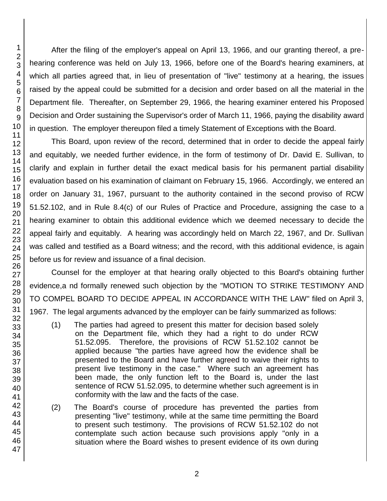After the filing of the employer's appeal on April 13, 1966, and our granting thereof, a prehearing conference was held on July 13, 1966, before one of the Board's hearing examiners, at which all parties agreed that, in lieu of presentation of "live" testimony at a hearing, the issues raised by the appeal could be submitted for a decision and order based on all the material in the Department file. Thereafter, on September 29, 1966, the hearing examiner entered his Proposed Decision and Order sustaining the Supervisor's order of March 11, 1966, paying the disability award in question. The employer thereupon filed a timely Statement of Exceptions with the Board.

This Board, upon review of the record, determined that in order to decide the appeal fairly and equitably, we needed further evidence, in the form of testimony of Dr. David E. Sullivan, to clarify and explain in further detail the exact medical basis for his permanent partial disability evaluation based on his examination of claimant on February 15, 1966. Accordingly, we entered an order on January 31, 1967, pursuant to the authority contained in the second proviso of RCW 51.52.102, and in Rule 8.4(c) of our Rules of Practice and Procedure, assigning the case to a hearing examiner to obtain this additional evidence which we deemed necessary to decide the appeal fairly and equitably. A hearing was accordingly held on March 22, 1967, and Dr. Sullivan was called and testified as a Board witness; and the record, with this additional evidence, is again before us for review and issuance of a final decision.

Counsel for the employer at that hearing orally objected to this Board's obtaining further evidence,a nd formally renewed such objection by the "MOTION TO STRIKE TESTIMONY AND TO COMPEL BOARD TO DECIDE APPEAL IN ACCORDANCE WITH THE LAW" filed on April 3, 1967. The legal arguments advanced by the employer can be fairly summarized as follows:

- (1) The parties had agreed to present this matter for decision based solely on the Department file, which they had a right to do under RCW 51.52.095. Therefore, the provisions of RCW 51.52.102 cannot be applied because "the parties have agreed how the evidence shall be presented to the Board and have further agreed to waive their rights to present live testimony in the case." Where such an agreement has been made, the only function left to the Board is, under the last sentence of RCW 51.52.095, to determine whether such agreement is in conformity with the law and the facts of the case.
- (2) The Board's course of procedure has prevented the parties from presenting "live" testimony, while at the same time permitting the Board to present such testimony. The provisions of RCW 51.52.102 do not contemplate such action because such provisions apply "only in a situation where the Board wishes to present evidence of its own during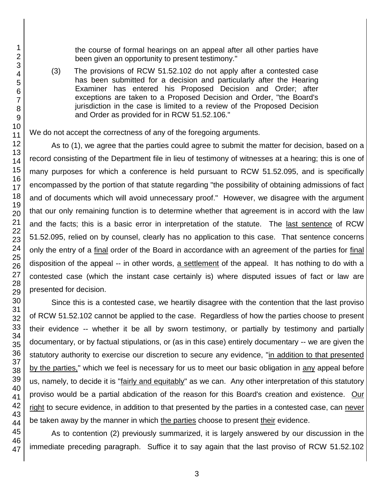the course of formal hearings on an appeal after all other parties have been given an opportunity to present testimony."

(3) The provisions of RCW 51.52.102 do not apply after a contested case has been submitted for a decision and particularly after the Hearing Examiner has entered his Proposed Decision and Order; after exceptions are taken to a Proposed Decision and Order, "the Board's jurisdiction in the case is limited to a review of the Proposed Decision and Order as provided for in RCW 51.52.106."

We do not accept the correctness of any of the foregoing arguments.

As to (1), we agree that the parties could agree to submit the matter for decision, based on a record consisting of the Department file in lieu of testimony of witnesses at a hearing; this is one of many purposes for which a conference is held pursuant to RCW 51.52.095, and is specifically encompassed by the portion of that statute regarding "the possibility of obtaining admissions of fact and of documents which will avoid unnecessary proof." However, we disagree with the argument that our only remaining function is to determine whether that agreement is in accord with the law and the facts; this is a basic error in interpretation of the statute. The last sentence of RCW 51.52.095, relied on by counsel, clearly has no application to this case. That sentence concerns only the entry of a final order of the Board in accordance with an agreement of the parties for final disposition of the appeal -- in other words, a settlement of the appeal. It has nothing to do with a contested case (which the instant case certainly is) where disputed issues of fact or law are presented for decision.

Since this is a contested case, we heartily disagree with the contention that the last proviso of RCW 51.52.102 cannot be applied to the case. Regardless of how the parties choose to present their evidence -- whether it be all by sworn testimony, or partially by testimony and partially documentary, or by factual stipulations, or (as in this case) entirely documentary -- we are given the statutory authority to exercise our discretion to secure any evidence, "in addition to that presented by the parties," which we feel is necessary for us to meet our basic obligation in any appeal before us, namely, to decide it is "fairly and equitably" as we can. Any other interpretation of this statutory proviso would be a partial abdication of the reason for this Board's creation and existence. Our right to secure evidence, in addition to that presented by the parties in a contested case, can never be taken away by the manner in which the parties choose to present their evidence.

As to contention (2) previously summarized, it is largely answered by our discussion in the immediate preceding paragraph. Suffice it to say again that the last proviso of RCW 51.52.102

1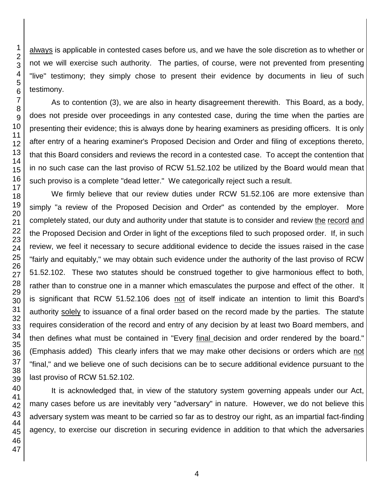always is applicable in contested cases before us, and we have the sole discretion as to whether or not we will exercise such authority. The parties, of course, were not prevented from presenting "live" testimony; they simply chose to present their evidence by documents in lieu of such testimony.

As to contention (3), we are also in hearty disagreement therewith. This Board, as a body, does not preside over proceedings in any contested case, during the time when the parties are presenting their evidence; this is always done by hearing examiners as presiding officers. It is only after entry of a hearing examiner's Proposed Decision and Order and filing of exceptions thereto, that this Board considers and reviews the record in a contested case. To accept the contention that in no such case can the last proviso of RCW 51.52.102 be utilized by the Board would mean that such proviso is a complete "dead letter." We categorically reject such a result.

We firmly believe that our review duties under RCW 51.52.106 are more extensive than simply "a review of the Proposed Decision and Order" as contended by the employer. More completely stated, our duty and authority under that statute is to consider and review the record and the Proposed Decision and Order in light of the exceptions filed to such proposed order. If, in such review, we feel it necessary to secure additional evidence to decide the issues raised in the case "fairly and equitably," we may obtain such evidence under the authority of the last proviso of RCW 51.52.102. These two statutes should be construed together to give harmonious effect to both, rather than to construe one in a manner which emasculates the purpose and effect of the other. It is significant that RCW 51.52.106 does not of itself indicate an intention to limit this Board's authority solely to issuance of a final order based on the record made by the parties. The statute requires consideration of the record and entry of any decision by at least two Board members, and then defines what must be contained in "Every final decision and order rendered by the board." (Emphasis added) This clearly infers that we may make other decisions or orders which are not "final," and we believe one of such decisions can be to secure additional evidence pursuant to the last proviso of RCW 51.52.102.

It is acknowledged that, in view of the statutory system governing appeals under our Act, many cases before us are inevitably very "adversary" in nature. However, we do not believe this adversary system was meant to be carried so far as to destroy our right, as an impartial fact-finding agency, to exercise our discretion in securing evidence in addition to that which the adversaries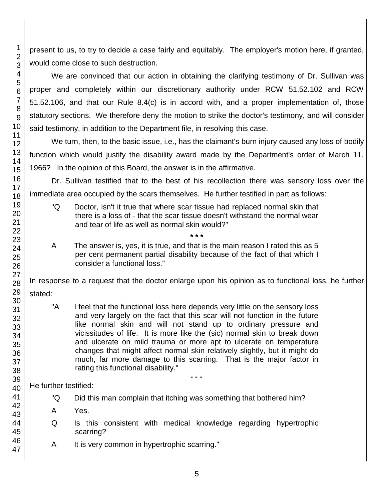present to us, to try to decide a case fairly and equitably. The employer's motion here, if granted, would come close to such destruction.

We are convinced that our action in obtaining the clarifying testimony of Dr. Sullivan was proper and completely within our discretionary authority under RCW 51.52.102 and RCW 51.52.106, and that our Rule 8.4(c) is in accord with, and a proper implementation of, those statutory sections. We therefore deny the motion to strike the doctor's testimony, and will consider said testimony, in addition to the Department file, in resolving this case.

We turn, then, to the basic issue, i.e., has the claimant's burn injury caused any loss of bodily function which would justify the disability award made by the Department's order of March 11, 1966? In the opinion of this Board, the answer is in the affirmative.

Dr. Sullivan testified that to the best of his recollection there was sensory loss over the immediate area occupied by the scars themselves. He further testified in part as follows:

- "Q Doctor, isn't it true that where scar tissue had replaced normal skin that there is a loss of - that the scar tissue doesn't withstand the normal wear and tear of life as well as normal skin would?"
- **\* \* \*** A The answer is, yes, it is true, and that is the main reason I rated this as 5 per cent permanent partial disability because of the fact of that which I consider a functional loss."

In response to a request that the doctor enlarge upon his opinion as to functional loss, he further stated:

"A I feel that the functional loss here depends very little on the sensory loss and very largely on the fact that this scar will not function in the future like normal skin and will not stand up to ordinary pressure and vicissitudes of life. It is more like the (sic) normal skin to break down and ulcerate on mild trauma or more apt to ulcerate on temperature changes that might affect normal skin relatively slightly, but it might do much, far more damage to this scarring. That is the major factor in rating this functional disability."

He further testified:

- "Q Did this man complain that itching was something that bothered him?
- A Yes.
- Q Is this consistent with medical knowledge regarding hypertrophic scarring?
- A It is very common in hypertrophic scarring."

1

**- - -**